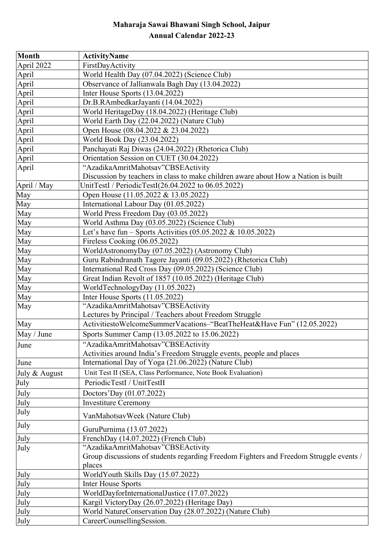## **Maharaja Sawai Bhawani Singh School, Jaipur Annual Calendar 2022-23**

| <b>Month</b>  | <b>ActivityName</b>                                                                    |
|---------------|----------------------------------------------------------------------------------------|
| April 2022    | FirstDayActivity                                                                       |
| April         | World Health Day (07.04.2022) (Science Club)                                           |
| April         | Observance of Jallianwala Bagh Day (13.04.2022)                                        |
| April         | Inter House Sports (13.04.2022)                                                        |
| April         | Dr.B.RAmbedkarJayanti (14.04.2022)                                                     |
| April         | World HeritageDay (18.04.2022) (Heritage Club)                                         |
| April         | World Earth Day (22.04.2022) (Nature Club)                                             |
| April         | Open House (08.04.2022 & 23.04.2022)                                                   |
| April         | World Book Day (23.04.2022)                                                            |
| April         | Panchayati Raj Diwas (24.04.2022) (Rhetorica Club)                                     |
| April         | Orientation Session on CUET (30.04.2022)                                               |
| April         | "AzadikaAmritMahotsav"CBSEActivity                                                     |
|               | Discussion by teachers in class to make children aware about How a Nation is built     |
| April / May   | UnitTestI / PeriodicTestI(26.04.2022 to 06.05.2022)                                    |
| May           | Open House (11.05.2022 & 13.05.2022)                                                   |
| May           | International Labour Day (01.05.2022)                                                  |
| May           | World Press Freedom Day (03.05.2022)                                                   |
| May           | World Asthma Day (03.05.2022) (Science Club)                                           |
| May           | Let's have fun – Sports Activities (05.05.2022 & 10.05.2022)                           |
| May           | Fireless Cooking (06.05.2022)                                                          |
| May           | WorldAstronomyDay (07.05.2022) (Astronomy Club)                                        |
| May           | Guru Rabindranath Tagore Jayanti (09.05.2022) (Rhetorica Club)                         |
| May           | International Red Cross Day (09.05.2022) (Science Club)                                |
| May           | Great Indian Revolt of 1857 (10.05.2022) (Heritage Club)                               |
| May           | WorldTechnologyDay (11.05.2022)                                                        |
| May           | Inter House Sports (11.05.2022)                                                        |
| May           | "AzadikaAmritMahotsav"CBSEActivity                                                     |
|               | Lectures by Principal / Teachers about Freedom Struggle                                |
| May           | ActivitiestoWelcomeSummerVacations-"BeatTheHeat&Have Fun" (12.05.2022)                 |
| May / June    | Sports Summer Camp (13.05.2022 to 15.06.2022)                                          |
| June          | "AzadikaAmritMahotsav"CBSEActivity                                                     |
|               | Activities around India's Freedom Struggle events, people and places                   |
| June          | International Day of Yoga (21.06.2022) (Nature Club)                                   |
| July & August | Unit Test II (SEA, Class Performance, Note Book Evaluation)                            |
| July          | PeriodicTestI / UnitTestII                                                             |
| July          | Doctors'Day (01.07.2022)                                                               |
| July          | <b>Investiture Ceremony</b>                                                            |
| July          | VanMahotsavWeek (Nature Club)                                                          |
| July          | GuruPurnima (13.07.2022)                                                               |
| July          | FrenchDay (14.07.2022) (French Club)                                                   |
| July          | "AzadikaAmritMahotsav"CBSEActivity                                                     |
|               | Group discussions of students regarding Freedom Fighters and Freedom Struggle events / |
|               | places                                                                                 |
| July          | WorldYouth Skills Day (15.07.2022)                                                     |
| July          | <b>Inter House Sports</b>                                                              |
| July          | WorldDayforInternationalJustice (17.07.2022)                                           |
| July          | Kargil VictoryDay (26.07.2022) (Heritage Day)                                          |
| July          | World NatureConservation Day (28.07.2022) (Nature Club)                                |
| July          | CareerCounsellingSession.                                                              |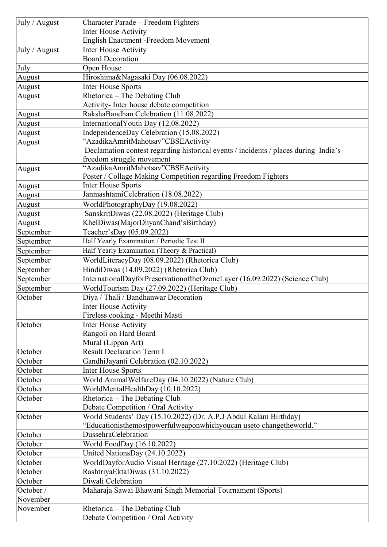| July / August | Character Parade - Freedom Fighters                                                 |
|---------------|-------------------------------------------------------------------------------------|
|               | Inter House Activity                                                                |
|               | <b>English Enactment -Freedom Movement</b>                                          |
| July / August | Inter House Activity                                                                |
|               | <b>Board Decoration</b>                                                             |
| July          | Open House                                                                          |
| August        | Hiroshima&Nagasaki Day (06.08.2022)                                                 |
| August        | <b>Inter House Sports</b>                                                           |
| August        | Rhetorica - The Debating Club                                                       |
|               | Activity- Inter house debate competition                                            |
| August        | RakshaBandhan Celebration (11.08.2022)                                              |
| August        | International Youth Day (12.08.2022)                                                |
| August        | IndependenceDay Celebration (15.08.2022)                                            |
| August        | "AzadikaAmritMahotsav"CBSEActivity                                                  |
|               | Declamation contest regarding historical events / incidents / places during India's |
|               | freedom struggle movement                                                           |
| August        | "AzadikaAmritMahotsav"CBSEActivity                                                  |
|               | Poster / Collage Making Competition regarding Freedom Fighters                      |
| August        | Inter House Sports                                                                  |
| August        | JanmashtamiCelebration (18.08.2022)                                                 |
| August        | WorldPhotographyDay (19.08.2022)                                                    |
| August        | SanskritDiwas (22.08.2022) (Heritage Club)                                          |
| August        | KhelDiwas(MajorDhyanChand'sBirthday)                                                |
| September     | Teacher'sDay (05.09.2022)                                                           |
| September     | Half Yearly Examination / Periodic Test II                                          |
| September     | Half Yearly Examination (Theory & Practical)                                        |
| September     | WorldLiteracyDay (08.09.2022) (Rhetorica Club)                                      |
| September     | HindiDiwas (14.09.2022) (Rhetorica Club)                                            |
| September     | InternationalDayforPreservationoftheOzoneLayer (16.09.2022) (Science Club)          |
| September     | WorldTourism Day (27.09.2022) (Heritage Club)                                       |
| October       | Diya / Thali / Bandhanwar Decoration                                                |
|               | Inter House Activity                                                                |
|               | Fireless cooking - Meethi Masti                                                     |
| October       | <b>Inter House Activity</b>                                                         |
|               | Rangoli on Hard Board                                                               |
|               | Mural (Lippan Art)                                                                  |
| October       | <b>Result Declaration Term I</b>                                                    |
| October       | GandhiJayanti Celebration (02.10.2022)                                              |
| October       | <b>Inter House Sports</b>                                                           |
| October       | World AnimalWelfareDay (04.10.2022) (Nature Club)                                   |
| October       | WorldMentalHealthDay (10.10.2022)                                                   |
| October       | Rhetorica – The Debating Club                                                       |
|               | Debate Competition / Oral Activity                                                  |
| October       | World Students' Day (15.10.2022) (Dr. A.P.J Abdul Kalam Birthday)                   |
|               | "Educationisthemostpowerfulweaponwhichyoucan useto changetheworld."                 |
| October       | DussehraCelebration                                                                 |
| October       | World FoodDay (16.10.2022)                                                          |
| October       | United NationsDay (24.10.2022)                                                      |
| October       | WorldDayforAudio Visual Heritage (27.10.2022) (Heritage Club)                       |
| October       | RashtriyaEktaDiwas (31.10.2022)                                                     |
| October       | Diwali Celebration                                                                  |
| October /     | Maharaja Sawai Bhawani Singh Memorial Tournament (Sports)                           |
| November      |                                                                                     |
| November      | Rhetorica – The Debating Club                                                       |
|               | Debate Competition / Oral Activity                                                  |